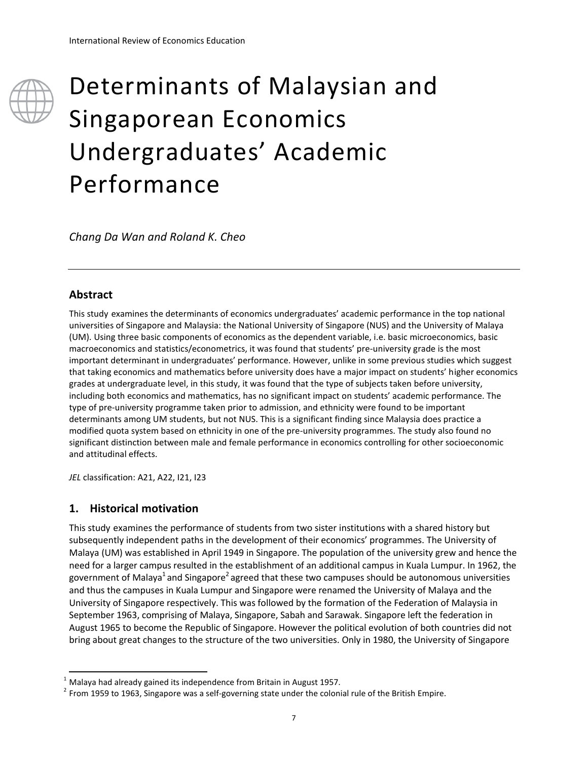

# Determinants of Malaysian and Singaporean Economics Undergraduates' Academic Performance

*Chang Da Wan and Roland K. Cheo*

#### **Abstract**

 $\overline{a}$ 

This study examines the determinants of economics undergraduates' academic performance in the top national universities of Singapore and Malaysia: the National University of Singapore (NUS) and the University of Malaya (UM). Using three basic components of economics as the dependent variable, i.e. basic microeconomics, basic macroeconomics and statistics/econometrics, it was found that students' pre-university grade is the most important determinant in undergraduates' performance. However, unlike in some previous studies which suggest that taking economics and mathematics before university does have a major impact on students' higher economics grades at undergraduate level, in this study, it was found that the type of subjects taken before university, including both economics and mathematics, has no significant impact on students' academic performance. The type of pre-university programme taken prior to admission, and ethnicity were found to be important determinants among UM students, but not NUS. This is a significant finding since Malaysia does practice a modified quota system based on ethnicity in one of the pre-university programmes. The study also found no significant distinction between male and female performance in economics controlling for other socioeconomic and attitudinal effects.

*JEL* classification: A21, A22, I21, I23

#### **1. Historical motivation**

This study examines the performance of students from two sister institutions with a shared history but subsequently independent paths in the development of their economics' programmes. The University of Malaya (UM) was established in April 1949 in Singapore. The population of the university grew and hence the need for a larger campus resulted in the establishment of an additional campus in Kuala Lumpur. In 1962, the government of Malaya<sup>1</sup> and Singapore<sup>2</sup> agreed that these two campuses should be autonomous universities and thus the campuses in Kuala Lumpur and Singapore were renamed the University of Malaya and the University of Singapore respectively. This was followed by the formation of the Federation of Malaysia in September 1963, comprising of Malaya, Singapore, Sabah and Sarawak. Singapore left the federation in August 1965 to become the Republic of Singapore. However the political evolution of both countries did not bring about great changes to the structure of the two universities. Only in 1980, the University of Singapore

<sup>1</sup> Malaya had already gained its independence from Britain in August 1957.

 $2$  From 1959 to 1963, Singapore was a self-governing state under the colonial rule of the British Empire.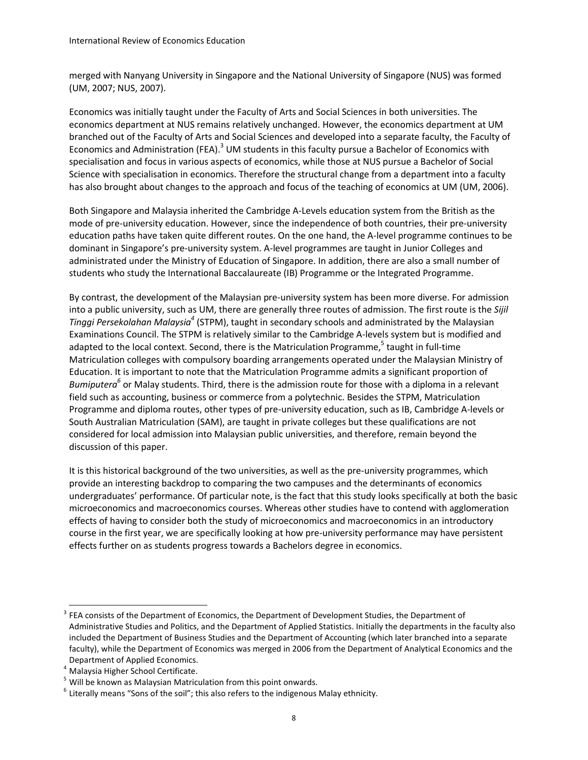merged with Nanyang University in Singapore and the National University of Singapore (NUS) was formed (UM, 2007; NUS, 2007).

Economics was initially taught under the Faculty of Arts and Social Sciences in both universities. The economics department at NUS remains relatively unchanged. However, the economics department at UM branched out of the Faculty of Arts and Social Sciences and developed into a separate faculty, the Faculty of Economics and Administration (FEA).<sup>3</sup> UM students in this faculty pursue a Bachelor of Economics with specialisation and focus in various aspects of economics, while those at NUS pursue a Bachelor of Social Science with specialisation in economics. Therefore the structural change from a department into a faculty has also brought about changes to the approach and focus of the teaching of economics at UM (UM, 2006).

Both Singapore and Malaysia inherited the Cambridge A-Levels education system from the British as the mode of pre-university education. However, since the independence of both countries, their pre-university education paths have taken quite different routes. On the one hand, the A-level programme continues to be dominant in Singapore's pre-university system. A-level programmes are taught in Junior Colleges and administrated under the Ministry of Education of Singapore. In addition, there are also a small number of students who study the International Baccalaureate (IB) Programme or the Integrated Programme.

By contrast, the development of the Malaysian pre-university system has been more diverse. For admission into a public university, such as UM, there are generally three routes of admission. The first route is the *Sijil Tinggi Persekolahan Malaysia<sup>4</sup>* (STPM), taught in secondary schools and administrated by the Malaysian Examinations Council. The STPM is relatively similar to the Cambridge A-levels system but is modified and adapted to the local context. Second, there is the Matriculation Programme,<sup>5</sup> taught in full-time Matriculation colleges with compulsory boarding arrangements operated under the Malaysian Ministry of Education. It is important to note that the Matriculation Programme admits a significant proportion of Bumiputera<sup>6</sup> or Malay students. Third, there is the admission route for those with a diploma in a relevant field such as accounting, business or commerce from a polytechnic. Besides the STPM, Matriculation Programme and diploma routes, other types of pre-university education, such as IB, Cambridge A-levels or South Australian Matriculation (SAM), are taught in private colleges but these qualifications are not considered for local admission into Malaysian public universities, and therefore, remain beyond the discussion of this paper.

It is this historical background of the two universities, as well as the pre-university programmes, which provide an interesting backdrop to comparing the two campuses and the determinants of economics undergraduates' performance. Of particular note, is the fact that this study looks specifically at both the basic microeconomics and macroeconomics courses. Whereas other studies have to contend with agglomeration effects of having to consider both the study of microeconomics and macroeconomics in an introductory course in the first year, we are specifically looking at how pre-university performance may have persistent effects further on as students progress towards a Bachelors degree in economics.

<sup>&</sup>lt;sup>3</sup> FEA consists of the Department of Economics, the Department of Development Studies, the Department of Administrative Studies and Politics, and the Department of Applied Statistics. Initially the departments in the faculty also included the Department of Business Studies and the Department of Accounting (which later branched into a separate faculty), while the Department of Economics was merged in 2006 from the Department of Analytical Economics and the Department of Applied Economics.

<sup>4</sup> Malaysia Higher School Certificate.

 $<sup>5</sup>$  Will be known as Malaysian Matriculation from this point onwards.</sup>

 $<sup>6</sup>$  Literally means "Sons of the soil"; this also refers to the indigenous Malay ethnicity.</sup>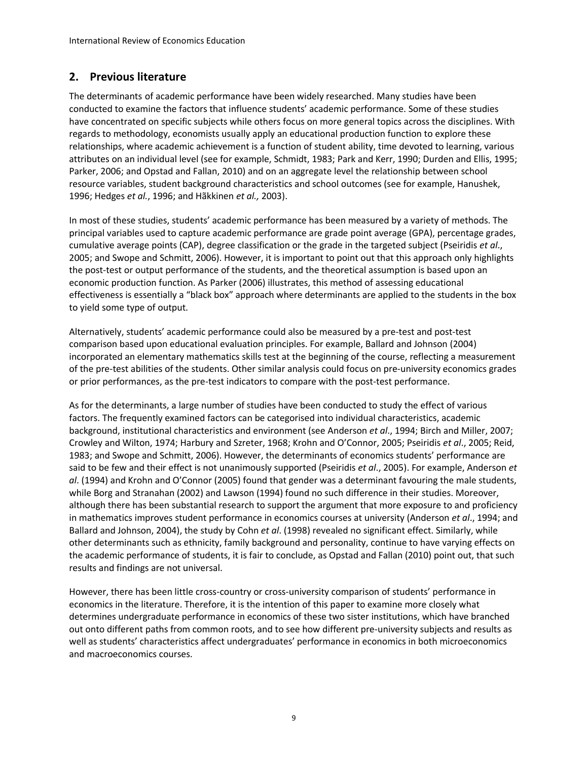## **2. Previous literature**

The determinants of academic performance have been widely researched. Many studies have been conducted to examine the factors that influence students' academic performance. Some of these studies have concentrated on specific subjects while others focus on more general topics across the disciplines. With regards to methodology, economists usually apply an educational production function to explore these relationships, where academic achievement is a function of student ability, time devoted to learning, various attributes on an individual level (see for example, Schmidt, 1983; Park and Kerr, 1990; Durden and Ellis, 1995; Parker, 2006; and Opstad and Fallan, 2010) and on an aggregate level the relationship between school resource variables, student background characteristics and school outcomes (see for example, Hanushek, 1996; Hedges *et al.*, 1996; and Hãkkinen *et al.,* 2003).

In most of these studies, students' academic performance has been measured by a variety of methods. The principal variables used to capture academic performance are grade point average (GPA), percentage grades, cumulative average points (CAP), degree classification or the grade in the targeted subject (Pseiridis *et al*., 2005; and Swope and Schmitt, 2006). However, it is important to point out that this approach only highlights the post-test or output performance of the students, and the theoretical assumption is based upon an economic production function. As Parker (2006) illustrates, this method of assessing educational effectiveness is essentially a "black box" approach where determinants are applied to the students in the box to yield some type of output.

Alternatively, students' academic performance could also be measured by a pre-test and post-test comparison based upon educational evaluation principles. For example, Ballard and Johnson (2004) incorporated an elementary mathematics skills test at the beginning of the course, reflecting a measurement of the pre-test abilities of the students. Other similar analysis could focus on pre-university economics grades or prior performances, as the pre-test indicators to compare with the post-test performance.

As for the determinants, a large number of studies have been conducted to study the effect of various factors. The frequently examined factors can be categorised into individual characteristics, academic background, institutional characteristics and environment (see Anderson *et al*., 1994; Birch and Miller, 2007; Crowley and Wilton, 1974; Harbury and Szreter, 1968; Krohn and O'Connor, 2005; Pseiridis *et al*., 2005; Reid, 1983; and Swope and Schmitt, 2006). However, the determinants of economics students' performance are said to be few and their effect is not unanimously supported (Pseiridis *et al*., 2005). For example, Anderson *et al*. (1994) and Krohn and O'Connor (2005) found that gender was a determinant favouring the male students, while Borg and Stranahan (2002) and Lawson (1994) found no such difference in their studies. Moreover, although there has been substantial research to support the argument that more exposure to and proficiency in mathematics improves student performance in economics courses at university (Anderson *et al*., 1994; and Ballard and Johnson, 2004), the study by Cohn *et al*. (1998) revealed no significant effect. Similarly, while other determinants such as ethnicity, family background and personality, continue to have varying effects on the academic performance of students, it is fair to conclude, as Opstad and Fallan (2010) point out, that such results and findings are not universal.

However, there has been little cross-country or cross-university comparison of students' performance in economics in the literature. Therefore, it is the intention of this paper to examine more closely what determines undergraduate performance in economics of these two sister institutions, which have branched out onto different paths from common roots, and to see how different pre-university subjects and results as well as students' characteristics affect undergraduates' performance in economics in both microeconomics and macroeconomics courses.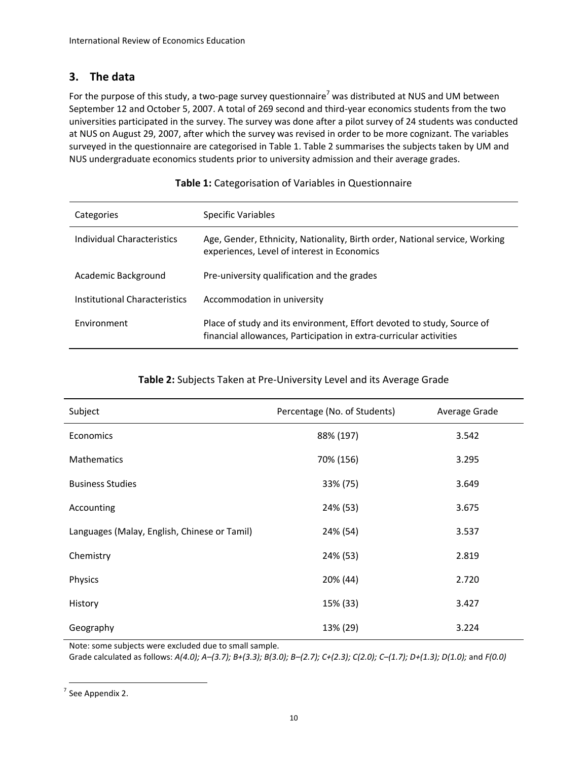#### **3. The data**

For the purpose of this study, a two-page survey questionnaire<sup>7</sup> was distributed at NUS and UM between September 12 and October 5, 2007. A total of 269 second and third-year economics students from the two universities participated in the survey. The survey was done after a pilot survey of 24 students was conducted at NUS on August 29, 2007, after which the survey was revised in order to be more cognizant. The variables surveyed in the questionnaire are categorised in Table 1. Table 2 summarises the subjects taken by UM and NUS undergraduate economics students prior to university admission and their average grades.

| Categories                    | Specific Variables                                                                                                                           |
|-------------------------------|----------------------------------------------------------------------------------------------------------------------------------------------|
| Individual Characteristics    | Age, Gender, Ethnicity, Nationality, Birth order, National service, Working<br>experiences, Level of interest in Economics                   |
| Academic Background           | Pre-university qualification and the grades                                                                                                  |
| Institutional Characteristics | Accommodation in university                                                                                                                  |
| Environment                   | Place of study and its environment, Effort devoted to study, Source of<br>financial allowances, Participation in extra-curricular activities |

#### **Table 1:** Categorisation of Variables in Questionnaire

#### **Table 2:** Subjects Taken at Pre-University Level and its Average Grade

| Subject                                      | Percentage (No. of Students) | Average Grade |
|----------------------------------------------|------------------------------|---------------|
| Economics                                    | 88% (197)                    | 3.542         |
| Mathematics                                  | 70% (156)                    | 3.295         |
| <b>Business Studies</b>                      | 33% (75)                     | 3.649         |
| Accounting                                   | 24% (53)                     | 3.675         |
| Languages (Malay, English, Chinese or Tamil) | 24% (54)                     | 3.537         |
| Chemistry                                    | 24% (53)                     | 2.819         |
| Physics                                      | 20% (44)                     | 2.720         |
| History                                      | 15% (33)                     | 3.427         |
| Geography                                    | 13% (29)                     | 3.224         |

Note: some subjects were excluded due to small sample.

Grade calculated as follows: *A(4.0); A–(3.7); B+(3.3); B(3.0); B–(2.7); C+(2.3); C(2.0); C–(1.7); D+(1.3); D(1.0);* and *F(0.0)*

 $<sup>7</sup>$  See Appendix 2.</sup>

 $\overline{a}$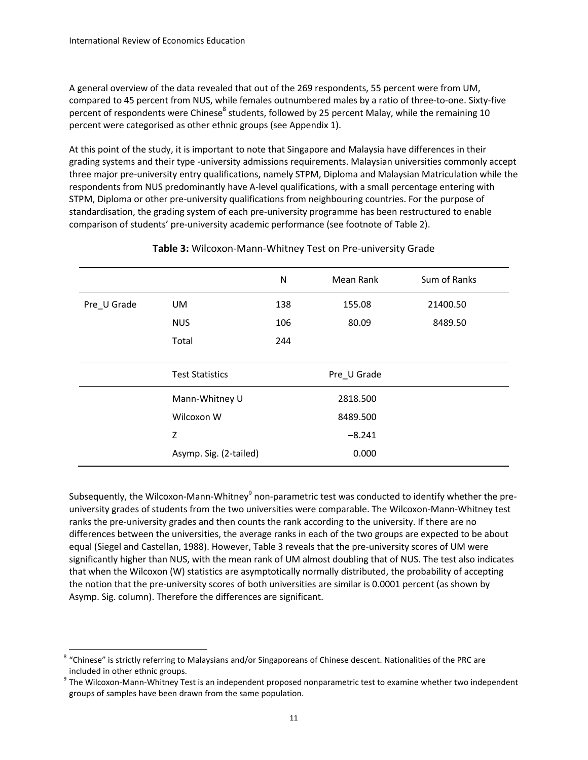A general overview of the data revealed that out of the 269 respondents, 55 percent were from UM, compared to 45 percent from NUS, while females outnumbered males by a ratio of three-to-one. Sixty-five percent of respondents were Chinese<sup>8</sup> students, followed by 25 percent Malay, while the remaining 10 percent were categorised as other ethnic groups (see Appendix 1).

At this point of the study, it is important to note that Singapore and Malaysia have differences in their grading systems and their type -university admissions requirements. Malaysian universities commonly accept three major pre-university entry qualifications, namely STPM, Diploma and Malaysian Matriculation while the respondents from NUS predominantly have A-level qualifications, with a small percentage entering with STPM, Diploma or other pre-university qualifications from neighbouring countries. For the purpose of standardisation, the grading system of each pre-university programme has been restructured to enable comparison of students' pre-university academic performance (see footnote of Table 2).

|             |                        | N   | Mean Rank   | Sum of Ranks |
|-------------|------------------------|-----|-------------|--------------|
| Pre_U Grade | UM                     | 138 | 155.08      | 21400.50     |
|             | <b>NUS</b>             | 106 | 80.09       | 8489.50      |
|             | Total                  | 244 |             |              |
|             |                        |     |             |              |
|             | <b>Test Statistics</b> |     | Pre_U Grade |              |
|             | Mann-Whitney U         |     | 2818.500    |              |
|             | Wilcoxon W             |     | 8489.500    |              |
|             | Z                      |     | $-8.241$    |              |
|             | Asymp. Sig. (2-tailed) |     | 0.000       |              |
|             |                        |     |             |              |

#### **Table 3:** Wilcoxon-Mann-Whitney Test on Pre-university Grade

Subsequently, the Wilcoxon-Mann-Whitney $^9$  non-parametric test was conducted to identify whether the preuniversity grades of students from the two universities were comparable. The Wilcoxon-Mann-Whitney test ranks the pre-university grades and then counts the rank according to the university. If there are no differences between the universities, the average ranks in each of the two groups are expected to be about equal (Siegel and Castellan, 1988). However, Table 3 reveals that the pre-university scores of UM were significantly higher than NUS, with the mean rank of UM almost doubling that of NUS. The test also indicates that when the Wilcoxon (W) statistics are asymptotically normally distributed, the probability of accepting the notion that the pre-university scores of both universities are similar is 0.0001 percent (as shown by Asymp. Sig. column). Therefore the differences are significant.

 $\overline{a}$ 

<sup>&</sup>lt;sup>8</sup> "Chinese" is strictly referring to Malaysians and/or Singaporeans of Chinese descent. Nationalities of the PRC are included in other ethnic groups.

<sup>&</sup>lt;sup>9</sup> The Wilcoxon-Mann-Whitney Test is an independent proposed nonparametric test to examine whether two independent groups of samples have been drawn from the same population.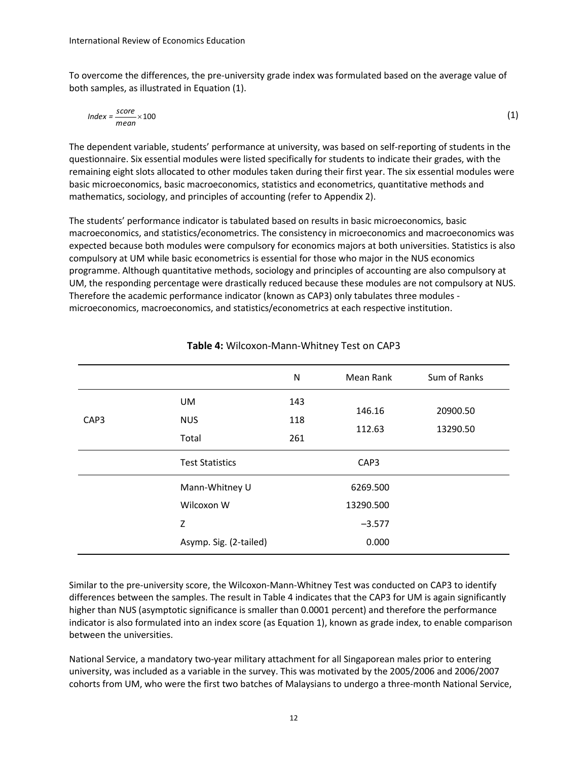To overcome the differences, the pre-university grade index was formulated based on the average value of both samples, as illustrated in Equation (1).

$$
Index = \frac{score}{mean} \times 100 \tag{1}
$$

The dependent variable, students' performance at university, was based on self-reporting of students in the questionnaire. Six essential modules were listed specifically for students to indicate their grades, with the remaining eight slots allocated to other modules taken during their first year. The six essential modules were basic microeconomics, basic macroeconomics, statistics and econometrics, quantitative methods and mathematics, sociology, and principles of accounting (refer to Appendix 2).

The students' performance indicator is tabulated based on results in basic microeconomics, basic macroeconomics, and statistics/econometrics. The consistency in microeconomics and macroeconomics was expected because both modules were compulsory for economics majors at both universities. Statistics is also compulsory at UM while basic econometrics is essential for those who major in the NUS economics programme. Although quantitative methods, sociology and principles of accounting are also compulsory at UM, the responding percentage were drastically reduced because these modules are not compulsory at NUS. Therefore the academic performance indicator (known as CAP3) only tabulates three modules microeconomics, macroeconomics, and statistics/econometrics at each respective institution.

|      |                        | N   | Mean Rank        | Sum of Ranks |  |
|------|------------------------|-----|------------------|--------------|--|
|      | UM                     | 143 |                  |              |  |
| CAP3 | <b>NUS</b>             | 118 | 146.16           | 20900.50     |  |
|      | Total                  | 261 | 112.63           | 13290.50     |  |
|      | <b>Test Statistics</b> |     | CAP <sub>3</sub> |              |  |
|      | Mann-Whitney U         |     | 6269.500         |              |  |
|      | Wilcoxon W             |     | 13290.500        |              |  |
|      | Z                      |     | $-3.577$         |              |  |
|      | Asymp. Sig. (2-tailed) |     | 0.000            |              |  |

#### **Table 4:** Wilcoxon-Mann-Whitney Test on CAP3

Similar to the pre-university score, the Wilcoxon-Mann-Whitney Test was conducted on CAP3 to identify differences between the samples. The result in Table 4 indicates that the CAP3 for UM is again significantly higher than NUS (asymptotic significance is smaller than 0.0001 percent) and therefore the performance indicator is also formulated into an index score (as Equation 1), known as grade index, to enable comparison between the universities.

National Service, a mandatory two-year military attachment for all Singaporean males prior to entering university, was included as a variable in the survey. This was motivated by the 2005/2006 and 2006/2007 cohorts from UM, who were the first two batches of Malaysians to undergo a three-month National Service,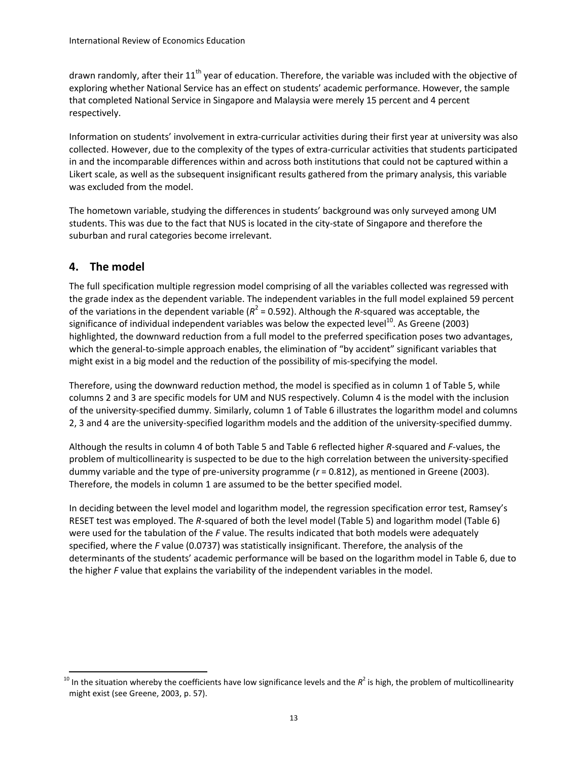drawn randomly, after their  $11^{th}$  year of education. Therefore, the variable was included with the objective of exploring whether National Service has an effect on students' academic performance. However, the sample that completed National Service in Singapore and Malaysia were merely 15 percent and 4 percent respectively.

Information on students' involvement in extra-curricular activities during their first year at university was also collected. However, due to the complexity of the types of extra-curricular activities that students participated in and the incomparable differences within and across both institutions that could not be captured within a Likert scale, as well as the subsequent insignificant results gathered from the primary analysis, this variable was excluded from the model.

The hometown variable, studying the differences in students' background was only surveyed among UM students. This was due to the fact that NUS is located in the city-state of Singapore and therefore the suburban and rural categories become irrelevant.

# **4. The model**

The full specification multiple regression model comprising of all the variables collected was regressed with the grade index as the dependent variable. The independent variables in the full model explained 59 percent of the variations in the dependent variable ( $R^2$  = 0.592). Although the R-squared was acceptable, the significance of individual independent variables was below the expected level<sup>10</sup>. As Greene (2003) highlighted, the downward reduction from a full model to the preferred specification poses two advantages, which the general-to-simple approach enables, the elimination of "by accident" significant variables that might exist in a big model and the reduction of the possibility of mis-specifying the model.

Therefore, using the downward reduction method, the model is specified as in column 1 of Table 5, while columns 2 and 3 are specific models for UM and NUS respectively. Column 4 is the model with the inclusion of the university-specified dummy. Similarly, column 1 of Table 6 illustrates the logarithm model and columns 2, 3 and 4 are the university-specified logarithm models and the addition of the university-specified dummy.

Although the results in column 4 of both Table 5 and Table 6 reflected higher *R*-squared and *F*-values, the problem of multicollinearity is suspected to be due to the high correlation between the university-specified dummy variable and the type of pre-university programme  $(r = 0.812)$ , as mentioned in Greene (2003). Therefore, the models in column 1 are assumed to be the better specified model.

In deciding between the level model and logarithm model, the regression specification error test, Ramsey's RESET test was employed. The *R*-squared of both the level model (Table 5) and logarithm model (Table 6) were used for the tabulation of the *F* value. The results indicated that both models were adequately specified, where the *F* value (0.0737) was statistically insignificant. Therefore, the analysis of the determinants of the students' academic performance will be based on the logarithm model in Table 6, due to the higher *F* value that explains the variability of the independent variables in the model.

 $\overline{a}$ <sup>10</sup> In the situation whereby the coefficients have low significance levels and the  $R^2$  is high, the problem of multicollinearity might exist (see Greene, 2003, p. 57).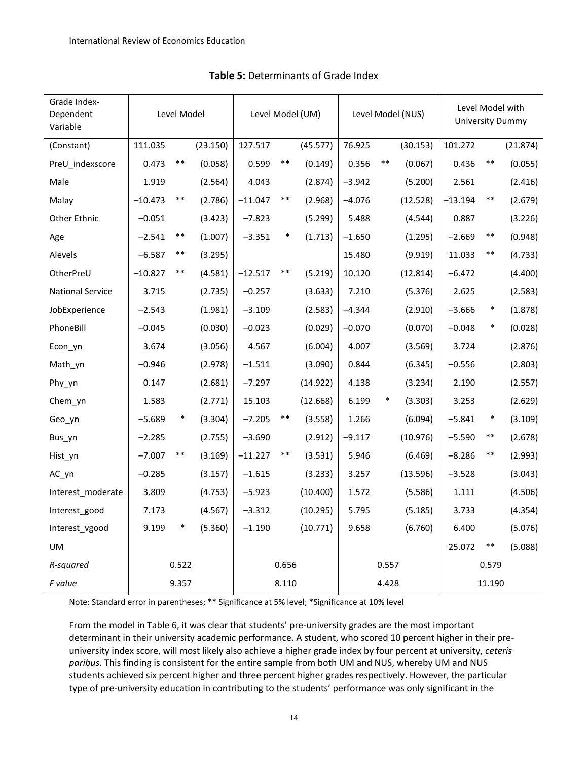| Grade Index-<br>Dependent<br>Variable |           | Level Model |          |           |        | Level Model (UM) |          |        | Level Model (NUS) |           |        | Level Model with<br><b>University Dummy</b> |
|---------------------------------------|-----------|-------------|----------|-----------|--------|------------------|----------|--------|-------------------|-----------|--------|---------------------------------------------|
| (Constant)                            | 111.035   |             | (23.150) | 127.517   |        | (45.577)         | 76.925   |        | (30.153)          | 101.272   |        | (21.874)                                    |
| PreU_indexscore                       | 0.473     | $***$       | (0.058)  | 0.599     | $***$  | (0.149)          | 0.356    | $***$  | (0.067)           | 0.436     | $***$  | (0.055)                                     |
| Male                                  | 1.919     |             | (2.564)  | 4.043     |        | (2.874)          | $-3.942$ |        | (5.200)           | 2.561     |        | (2.416)                                     |
| Malay                                 | $-10.473$ | $***$       | (2.786)  | $-11.047$ | $***$  | (2.968)          | $-4.076$ |        | (12.528)          | $-13.194$ | $***$  | (2.679)                                     |
| Other Ethnic                          | $-0.051$  |             | (3.423)  | $-7.823$  |        | (5.299)          | 5.488    |        | (4.544)           | 0.887     |        | (3.226)                                     |
| Age                                   | $-2.541$  | $***$       | (1.007)  | $-3.351$  | $\ast$ | (1.713)          | $-1.650$ |        | (1.295)           | $-2.669$  | $***$  | (0.948)                                     |
| Alevels                               | $-6.587$  | $***$       | (3.295)  |           |        |                  | 15.480   |        | (9.919)           | 11.033    | $***$  | (4.733)                                     |
| OtherPreU                             | $-10.827$ | $***$       | (4.581)  | $-12.517$ | $***$  | (5.219)          | 10.120   |        | (12.814)          | $-6.472$  |        | (4.400)                                     |
| <b>National Service</b>               | 3.715     |             | (2.735)  | $-0.257$  |        | (3.633)          | 7.210    |        | (5.376)           | 2.625     |        | (2.583)                                     |
| JobExperience                         | $-2.543$  |             | (1.981)  | $-3.109$  |        | (2.583)          | $-4.344$ |        | (2.910)           | $-3.666$  | $\ast$ | (1.878)                                     |
| PhoneBill                             | $-0.045$  |             | (0.030)  | $-0.023$  |        | (0.029)          | $-0.070$ |        | (0.070)           | $-0.048$  | $\ast$ | (0.028)                                     |
| Econ_yn                               | 3.674     |             | (3.056)  | 4.567     |        | (6.004)          | 4.007    |        | (3.569)           | 3.724     |        | (2.876)                                     |
| Math_yn                               | $-0.946$  |             | (2.978)  | $-1.511$  |        | (3.090)          | 0.844    |        | (6.345)           | $-0.556$  |        | (2.803)                                     |
| Phy_yn                                | 0.147     |             | (2.681)  | $-7.297$  |        | (14.922)         | 4.138    |        | (3.234)           | 2.190     |        | (2.557)                                     |
| Chem_yn                               | 1.583     |             | (2.771)  | 15.103    |        | (12.668)         | 6.199    | $\ast$ | (3.303)           | 3.253     |        | (2.629)                                     |
| Geo_yn                                | $-5.689$  | $\ast$      | (3.304)  | $-7.205$  | $***$  | (3.558)          | 1.266    |        | (6.094)           | $-5.841$  | $\ast$ | (3.109)                                     |
| Bus_yn                                | $-2.285$  |             | (2.755)  | $-3.690$  |        | (2.912)          | $-9.117$ |        | (10.976)          | $-5.590$  | $***$  | (2.678)                                     |
| Hist_yn                               | $-7.007$  | $***$       | (3.169)  | $-11.227$ | $***$  | (3.531)          | 5.946    |        | (6.469)           | $-8.286$  | $***$  | (2.993)                                     |
| AC_yn                                 | $-0.285$  |             | (3.157)  | $-1.615$  |        | (3.233)          | 3.257    |        | (13.596)          | $-3.528$  |        | (3.043)                                     |
| Interest_moderate                     | 3.809     |             | (4.753)  | $-5.923$  |        | (10.400)         | 1.572    |        | (5.586)           | 1.111     |        | (4.506)                                     |
| Interest_good                         | 7.173     |             | (4.567)  | $-3.312$  |        | (10.295)         | 5.795    |        | (5.185)           | 3.733     |        | (4.354)                                     |
| Interest_vgood                        | 9.199     | $\ast$      | (5.360)  | $-1.190$  |        | (10.771)         | 9.658    |        | (6.760)           | 6.400     |        | (5.076)                                     |
| UM                                    |           |             |          |           |        |                  |          |        |                   | 25.072    | $***$  | (5.088)                                     |
| R-squared                             |           | 0.522       |          |           | 0.656  |                  |          | 0.557  |                   |           | 0.579  |                                             |
| F value                               |           | 9.357       |          |           | 8.110  |                  |          | 4.428  |                   |           | 11.190 |                                             |

#### **Table 5:** Determinants of Grade Index

Note: Standard error in parentheses; \*\* Significance at 5% level; \*Significance at 10% level

From the model in Table 6, it was clear that students' pre-university grades are the most important determinant in their university academic performance. A student, who scored 10 percent higher in their preuniversity index score, will most likely also achieve a higher grade index by four percent at university, *ceteris paribus*. This finding is consistent for the entire sample from both UM and NUS, whereby UM and NUS students achieved six percent higher and three percent higher grades respectively. However, the particular type of pre-university education in contributing to the students' performance was only significant in the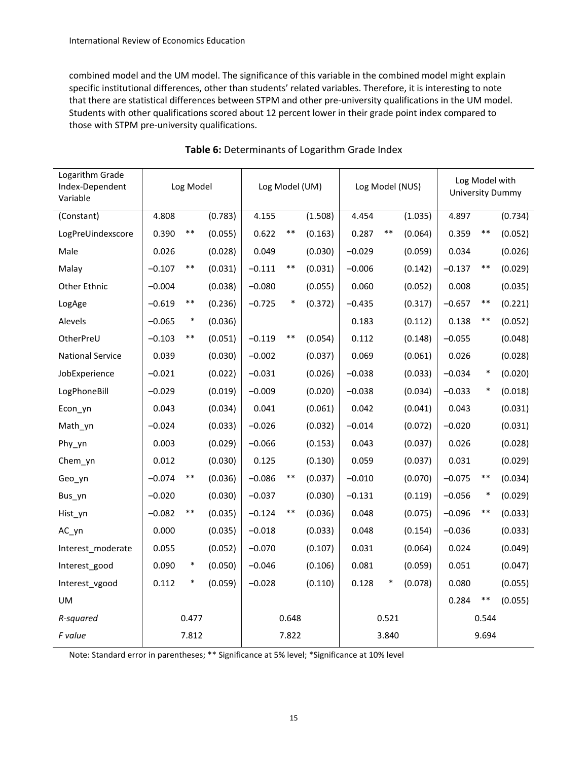combined model and the UM model. The significance of this variable in the combined model might explain specific institutional differences, other than students' related variables. Therefore, it is interesting to note that there are statistical differences between STPM and other pre-university qualifications in the UM model. Students with other qualifications scored about 12 percent lower in their grade point index compared to those with STPM pre-university qualifications.

| Logarithm Grade<br>Index-Dependent<br>Variable |          | Log Model |         | Log Model (UM) |        |         | Log Model (NUS) |        |         | <b>University Dummy</b> |        | Log Model with |
|------------------------------------------------|----------|-----------|---------|----------------|--------|---------|-----------------|--------|---------|-------------------------|--------|----------------|
| (Constant)                                     | 4.808    |           | (0.783) | 4.155          |        | (1.508) | 4.454           |        | (1.035) | 4.897                   |        | (0.734)        |
| LogPreUindexscore                              | 0.390    | $***$     | (0.055) | 0.622          | $***$  | (0.163) | 0.287           | $***$  | (0.064) | 0.359                   | $***$  | (0.052)        |
| Male                                           | 0.026    |           | (0.028) | 0.049          |        | (0.030) | $-0.029$        |        | (0.059) | 0.034                   |        | (0.026)        |
| Malay                                          | $-0.107$ | $***$     | (0.031) | $-0.111$       | $***$  | (0.031) | $-0.006$        |        | (0.142) | $-0.137$                | $***$  | (0.029)        |
| Other Ethnic                                   | $-0.004$ |           | (0.038) | $-0.080$       |        | (0.055) | 0.060           |        | (0.052) | 0.008                   |        | (0.035)        |
| LogAge                                         | $-0.619$ | $***$     | (0.236) | $-0.725$       | $\ast$ | (0.372) | $-0.435$        |        | (0.317) | $-0.657$                | $***$  | (0.221)        |
| Alevels                                        | $-0.065$ | $\ast$    | (0.036) |                |        |         | 0.183           |        | (0.112) | 0.138                   | $***$  | (0.052)        |
| OtherPreU                                      | $-0.103$ | $***$     | (0.051) | $-0.119$       | $***$  | (0.054) | 0.112           |        | (0.148) | $-0.055$                |        | (0.048)        |
| <b>National Service</b>                        | 0.039    |           | (0.030) | $-0.002$       |        | (0.037) | 0.069           |        | (0.061) | 0.026                   |        | (0.028)        |
| JobExperience                                  | $-0.021$ |           | (0.022) | $-0.031$       |        | (0.026) | $-0.038$        |        | (0.033) | $-0.034$                | $\ast$ | (0.020)        |
| LogPhoneBill                                   | $-0.029$ |           | (0.019) | $-0.009$       |        | (0.020) | $-0.038$        |        | (0.034) | $-0.033$                | $\ast$ | (0.018)        |
| Econ yn                                        | 0.043    |           | (0.034) | 0.041          |        | (0.061) | 0.042           |        | (0.041) | 0.043                   |        | (0.031)        |
| Math_yn                                        | $-0.024$ |           | (0.033) | $-0.026$       |        | (0.032) | $-0.014$        |        | (0.072) | $-0.020$                |        | (0.031)        |
| Phy_yn                                         | 0.003    |           | (0.029) | $-0.066$       |        | (0.153) | 0.043           |        | (0.037) | 0.026                   |        | (0.028)        |
| Chem_yn                                        | 0.012    |           | (0.030) | 0.125          |        | (0.130) | 0.059           |        | (0.037) | 0.031                   |        | (0.029)        |
| Geo_yn                                         | $-0.074$ | $***$     | (0.036) | $-0.086$       | $***$  | (0.037) | $-0.010$        |        | (0.070) | $-0.075$                | $***$  | (0.034)        |
| Bus_yn                                         | $-0.020$ |           | (0.030) | $-0.037$       |        | (0.030) | $-0.131$        |        | (0.119) | $-0.056$                | $\ast$ | (0.029)        |
| Hist_yn                                        | $-0.082$ | $***$     | (0.035) | $-0.124$       | $***$  | (0.036) | 0.048           |        | (0.075) | $-0.096$                | $***$  | (0.033)        |
| AC_yn                                          | 0.000    |           | (0.035) | $-0.018$       |        | (0.033) | 0.048           |        | (0.154) | $-0.036$                |        | (0.033)        |
| Interest_moderate                              | 0.055    |           | (0.052) | $-0.070$       |        | (0.107) | 0.031           |        | (0.064) | 0.024                   |        | (0.049)        |
| Interest good                                  | 0.090    | $\ast$    | (0.050) | $-0.046$       |        | (0.106) | 0.081           |        | (0.059) | 0.051                   |        | (0.047)        |
| Interest_vgood                                 | 0.112    | $\ast$    | (0.059) | $-0.028$       |        | (0.110) | 0.128           | $\ast$ | (0.078) | 0.080                   |        | (0.055)        |
| UM                                             |          |           |         |                |        |         |                 |        |         | 0.284                   | $***$  | (0.055)        |
| R-squared                                      |          | 0.477     |         |                | 0.648  |         |                 | 0.521  |         |                         | 0.544  |                |
| F value                                        |          | 7.812     |         |                | 7.822  |         |                 | 3.840  |         |                         | 9.694  |                |

#### **Table 6:** Determinants of Logarithm Grade Index

Note: Standard error in parentheses; \*\* Significance at 5% level; \*Significance at 10% level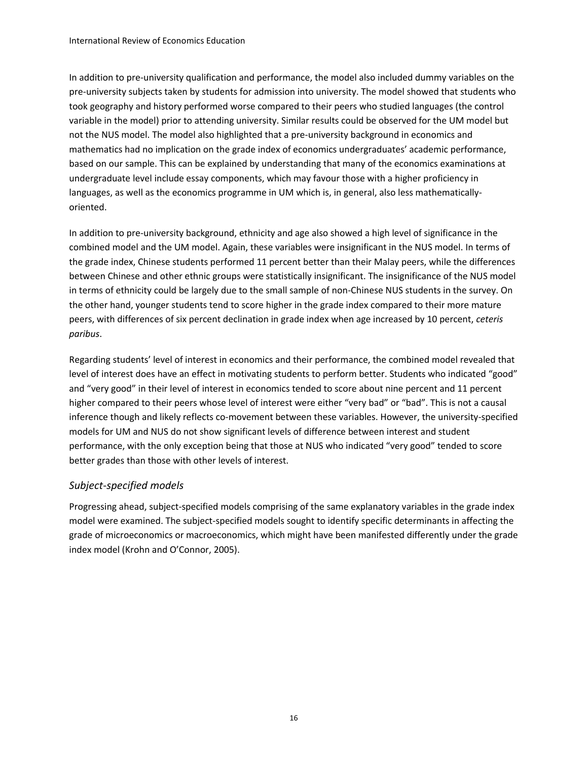In addition to pre-university qualification and performance, the model also included dummy variables on the pre-university subjects taken by students for admission into university. The model showed that students who took geography and history performed worse compared to their peers who studied languages (the control variable in the model) prior to attending university. Similar results could be observed for the UM model but not the NUS model. The model also highlighted that a pre-university background in economics and mathematics had no implication on the grade index of economics undergraduates' academic performance, based on our sample. This can be explained by understanding that many of the economics examinations at undergraduate level include essay components, which may favour those with a higher proficiency in languages, as well as the economics programme in UM which is, in general, also less mathematicallyoriented.

In addition to pre-university background, ethnicity and age also showed a high level of significance in the combined model and the UM model. Again, these variables were insignificant in the NUS model. In terms of the grade index, Chinese students performed 11 percent better than their Malay peers, while the differences between Chinese and other ethnic groups were statistically insignificant. The insignificance of the NUS model in terms of ethnicity could be largely due to the small sample of non-Chinese NUS students in the survey. On the other hand, younger students tend to score higher in the grade index compared to their more mature peers, with differences of six percent declination in grade index when age increased by 10 percent, *ceteris paribus*.

Regarding students' level of interest in economics and their performance, the combined model revealed that level of interest does have an effect in motivating students to perform better. Students who indicated "good" and "very good" in their level of interest in economics tended to score about nine percent and 11 percent higher compared to their peers whose level of interest were either "very bad" or "bad". This is not a causal inference though and likely reflects co-movement between these variables. However, the university-specified models for UM and NUS do not show significant levels of difference between interest and student performance, with the only exception being that those at NUS who indicated "very good" tended to score better grades than those with other levels of interest.

#### *Subject-specified models*

Progressing ahead, subject-specified models comprising of the same explanatory variables in the grade index model were examined. The subject-specified models sought to identify specific determinants in affecting the grade of microeconomics or macroeconomics, which might have been manifested differently under the grade index model (Krohn and O'Connor, 2005).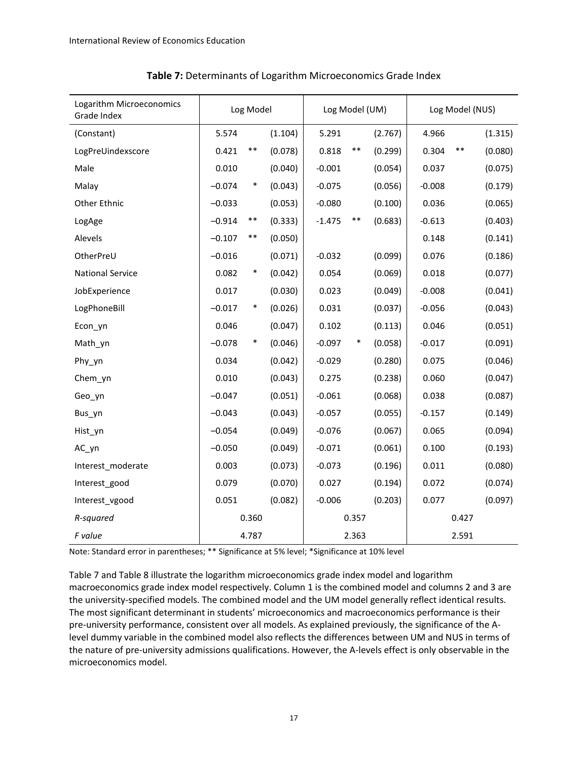| Logarithm Microeconomics<br>Grade Index |          | Log Model |         |          | Log Model (UM) |         |          | Log Model (NUS) |         |  |
|-----------------------------------------|----------|-----------|---------|----------|----------------|---------|----------|-----------------|---------|--|
| (Constant)                              | 5.574    |           | (1.104) | 5.291    |                | (2.767) | 4.966    |                 | (1.315) |  |
| LogPreUindexscore                       | 0.421    | $***$     | (0.078) | 0.818    | $***$          | (0.299) | 0.304    | $***$           | (0.080) |  |
| Male                                    | 0.010    |           | (0.040) | $-0.001$ |                | (0.054) | 0.037    |                 | (0.075) |  |
| Malay                                   | $-0.074$ | $\ast$    | (0.043) | $-0.075$ |                | (0.056) | $-0.008$ |                 | (0.179) |  |
| Other Ethnic                            | $-0.033$ |           | (0.053) | $-0.080$ |                | (0.100) | 0.036    |                 | (0.065) |  |
| LogAge                                  | $-0.914$ | $***$     | (0.333) | $-1.475$ | $***$          | (0.683) | $-0.613$ |                 | (0.403) |  |
| Alevels                                 | $-0.107$ | $***$     | (0.050) |          |                |         | 0.148    |                 | (0.141) |  |
| OtherPreU                               | $-0.016$ |           | (0.071) | $-0.032$ |                | (0.099) | 0.076    |                 | (0.186) |  |
| <b>National Service</b>                 | 0.082    | $\ast$    | (0.042) | 0.054    |                | (0.069) | 0.018    |                 | (0.077) |  |
| JobExperience                           | 0.017    |           | (0.030) | 0.023    |                | (0.049) | $-0.008$ |                 | (0.041) |  |
| LogPhoneBill                            | $-0.017$ | $\ast$    | (0.026) | 0.031    |                | (0.037) | $-0.056$ |                 | (0.043) |  |
| Econ_yn                                 | 0.046    |           | (0.047) | 0.102    |                | (0.113) | 0.046    |                 | (0.051) |  |
| Math_yn                                 | $-0.078$ | $\ast$    | (0.046) | $-0.097$ | $\ast$         | (0.058) | $-0.017$ |                 | (0.091) |  |
| Phy_yn                                  | 0.034    |           | (0.042) | $-0.029$ |                | (0.280) | 0.075    |                 | (0.046) |  |
| Chem_yn                                 | 0.010    |           | (0.043) | 0.275    |                | (0.238) | 0.060    |                 | (0.047) |  |
| Geo_yn                                  | $-0.047$ |           | (0.051) | $-0.061$ |                | (0.068) | 0.038    |                 | (0.087) |  |
| Bus_yn                                  | $-0.043$ |           | (0.043) | $-0.057$ |                | (0.055) | $-0.157$ |                 | (0.149) |  |
| Hist_yn                                 | $-0.054$ |           | (0.049) | $-0.076$ |                | (0.067) | 0.065    |                 | (0.094) |  |
| AC_yn                                   | $-0.050$ |           | (0.049) | $-0.071$ |                | (0.061) | 0.100    |                 | (0.193) |  |
| Interest moderate                       | 0.003    |           | (0.073) | $-0.073$ |                | (0.196) | 0.011    |                 | (0.080) |  |
| Interest_good                           | 0.079    |           | (0.070) | 0.027    |                | (0.194) | 0.072    |                 | (0.074) |  |
| Interest_vgood                          | 0.051    |           | (0.082) | $-0.006$ |                | (0.203) | 0.077    |                 | (0.097) |  |
| R-squared                               |          | 0.360     |         |          | 0.357          |         |          | 0.427           |         |  |
| F value                                 |          | 4.787     |         |          | 2.363          |         |          | 2.591           |         |  |

**Table 7:** Determinants of Logarithm Microeconomics Grade Index

Note: Standard error in parentheses; \*\* Significance at 5% level; \*Significance at 10% level

Table 7 and Table 8 illustrate the logarithm microeconomics grade index model and logarithm macroeconomics grade index model respectively. Column 1 is the combined model and columns 2 and 3 are the university-specified models. The combined model and the UM model generally reflect identical results. The most significant determinant in students' microeconomics and macroeconomics performance is their pre-university performance, consistent over all models. As explained previously, the significance of the Alevel dummy variable in the combined model also reflects the differences between UM and NUS in terms of the nature of pre-university admissions qualifications. However, the A-levels effect is only observable in the microeconomics model.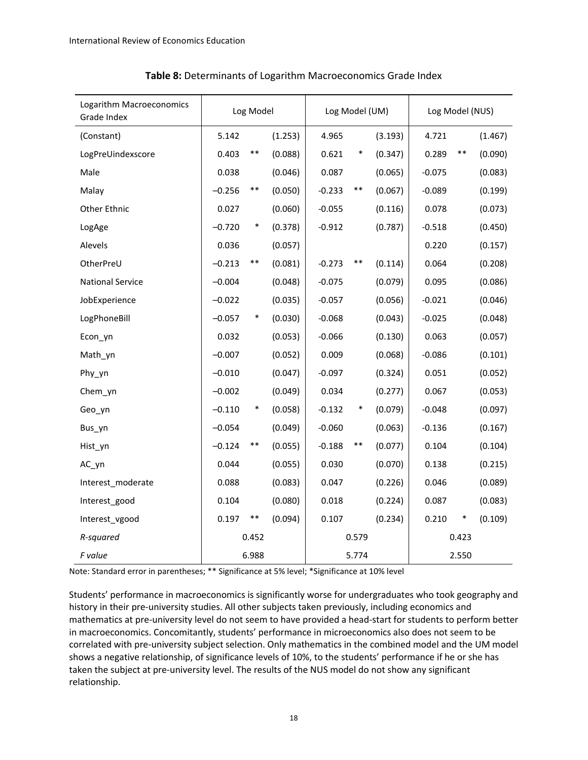| Logarithm Macroeconomics<br>Grade Index |          | Log Model<br>Log Model (UM) |         | Log Model (NUS) |        |         |          |        |         |
|-----------------------------------------|----------|-----------------------------|---------|-----------------|--------|---------|----------|--------|---------|
| (Constant)                              | 5.142    |                             | (1.253) | 4.965           |        | (3.193) | 4.721    |        | (1.467) |
| LogPreUindexscore                       | 0.403    | $***$                       | (0.088) | 0.621           | $\ast$ | (0.347) | 0.289    | $***$  | (0.090) |
| Male                                    | 0.038    |                             | (0.046) | 0.087           |        | (0.065) | $-0.075$ |        | (0.083) |
| Malay                                   | $-0.256$ | $***$                       | (0.050) | $-0.233$        | $***$  | (0.067) | $-0.089$ |        | (0.199) |
| Other Ethnic                            | 0.027    |                             | (0.060) | $-0.055$        |        | (0.116) | 0.078    |        | (0.073) |
| LogAge                                  | $-0.720$ | $\ast$                      | (0.378) | $-0.912$        |        | (0.787) | $-0.518$ |        | (0.450) |
| Alevels                                 | 0.036    |                             | (0.057) |                 |        |         | 0.220    |        | (0.157) |
| OtherPreU                               | $-0.213$ | $***$                       | (0.081) | $-0.273$        | $***$  | (0.114) | 0.064    |        | (0.208) |
| <b>National Service</b>                 | $-0.004$ |                             | (0.048) | $-0.075$        |        | (0.079) | 0.095    |        | (0.086) |
| JobExperience                           | $-0.022$ |                             | (0.035) | $-0.057$        |        | (0.056) | $-0.021$ |        | (0.046) |
| LogPhoneBill                            | $-0.057$ | $\ast$                      | (0.030) | $-0.068$        |        | (0.043) | $-0.025$ |        | (0.048) |
| Econ_yn                                 | 0.032    |                             | (0.053) | $-0.066$        |        | (0.130) | 0.063    |        | (0.057) |
| Math_yn                                 | $-0.007$ |                             | (0.052) | 0.009           |        | (0.068) | $-0.086$ |        | (0.101) |
| Phy_yn                                  | $-0.010$ |                             | (0.047) | $-0.097$        |        | (0.324) | 0.051    |        | (0.052) |
| Chem_yn                                 | $-0.002$ |                             | (0.049) | 0.034           |        | (0.277) | 0.067    |        | (0.053) |
| Geo_yn                                  | $-0.110$ | $\ast$                      | (0.058) | $-0.132$        | $\ast$ | (0.079) | $-0.048$ |        | (0.097) |
| Bus_yn                                  | $-0.054$ |                             | (0.049) | $-0.060$        |        | (0.063) | $-0.136$ |        | (0.167) |
| Hist_yn                                 | $-0.124$ | $***$                       | (0.055) | $-0.188$        | $***$  | (0.077) | 0.104    |        | (0.104) |
| $AC_yn$                                 | 0.044    |                             | (0.055) | 0.030           |        | (0.070) | 0.138    |        | (0.215) |
| Interest_moderate                       | 0.088    |                             | (0.083) | 0.047           |        | (0.226) | 0.046    |        | (0.089) |
| Interest_good                           | 0.104    |                             | (0.080) | 0.018           |        | (0.224) | 0.087    |        | (0.083) |
| Interest_vgood                          | 0.197    | **                          | (0.094) | 0.107           |        | (0.234) | 0.210    | $\ast$ | (0.109) |
| R-squared                               |          | 0.452                       |         |                 | 0.579  |         |          | 0.423  |         |
| F value                                 |          | 6.988                       |         |                 | 5.774  |         |          | 2.550  |         |

| Table 8: Determinants of Logarithm Macroeconomics Grade Index |
|---------------------------------------------------------------|
|---------------------------------------------------------------|

Note: Standard error in parentheses; \*\* Significance at 5% level; \*Significance at 10% level

Students' performance in macroeconomics is significantly worse for undergraduates who took geography and history in their pre-university studies. All other subjects taken previously, including economics and mathematics at pre-university level do not seem to have provided a head-start for students to perform better in macroeconomics. Concomitantly, students' performance in microeconomics also does not seem to be correlated with pre-university subject selection. Only mathematics in the combined model and the UM model shows a negative relationship, of significance levels of 10%, to the students' performance if he or she has taken the subject at pre-university level. The results of the NUS model do not show any significant relationship.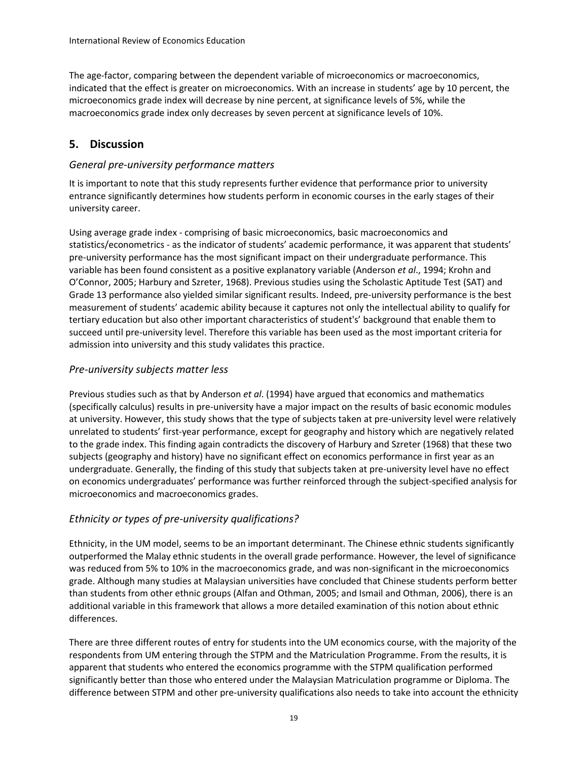The age-factor, comparing between the dependent variable of microeconomics or macroeconomics, indicated that the effect is greater on microeconomics. With an increase in students' age by 10 percent, the microeconomics grade index will decrease by nine percent, at significance levels of 5%, while the macroeconomics grade index only decreases by seven percent at significance levels of 10%.

# **5. Discussion**

#### *General pre-university performance matters*

It is important to note that this study represents further evidence that performance prior to university entrance significantly determines how students perform in economic courses in the early stages of their university career.

Using average grade index - comprising of basic microeconomics, basic macroeconomics and statistics/econometrics - as the indicator of students' academic performance, it was apparent that students' pre-university performance has the most significant impact on their undergraduate performance. This variable has been found consistent as a positive explanatory variable (Anderson *et al*., 1994; Krohn and O'Connor, 2005; Harbury and Szreter, 1968). Previous studies using the Scholastic Aptitude Test (SAT) and Grade 13 performance also yielded similar significant results. Indeed, pre-university performance is the best measurement of students' academic ability because it captures not only the intellectual ability to qualify for tertiary education but also other important characteristics of student's' background that enable them to succeed until pre-university level. Therefore this variable has been used as the most important criteria for admission into university and this study validates this practice.

#### *Pre-university subjects matter less*

Previous studies such as that by Anderson *et al*. (1994) have argued that economics and mathematics (specifically calculus) results in pre-university have a major impact on the results of basic economic modules at university. However, this study shows that the type of subjects taken at pre-university level were relatively unrelated to students' first-year performance, except for geography and history which are negatively related to the grade index. This finding again contradicts the discovery of Harbury and Szreter (1968) that these two subjects (geography and history) have no significant effect on economics performance in first year as an undergraduate. Generally, the finding of this study that subjects taken at pre-university level have no effect on economics undergraduates' performance was further reinforced through the subject-specified analysis for microeconomics and macroeconomics grades.

#### *Ethnicity or types of pre-university qualifications?*

Ethnicity, in the UM model, seems to be an important determinant. The Chinese ethnic students significantly outperformed the Malay ethnic students in the overall grade performance. However, the level of significance was reduced from 5% to 10% in the macroeconomics grade, and was non-significant in the microeconomics grade. Although many studies at Malaysian universities have concluded that Chinese students perform better than students from other ethnic groups (Alfan and Othman, 2005; and Ismail and Othman, 2006), there is an additional variable in this framework that allows a more detailed examination of this notion about ethnic differences.

There are three different routes of entry for students into the UM economics course, with the majority of the respondents from UM entering through the STPM and the Matriculation Programme. From the results, it is apparent that students who entered the economics programme with the STPM qualification performed significantly better than those who entered under the Malaysian Matriculation programme or Diploma. The difference between STPM and other pre-university qualifications also needs to take into account the ethnicity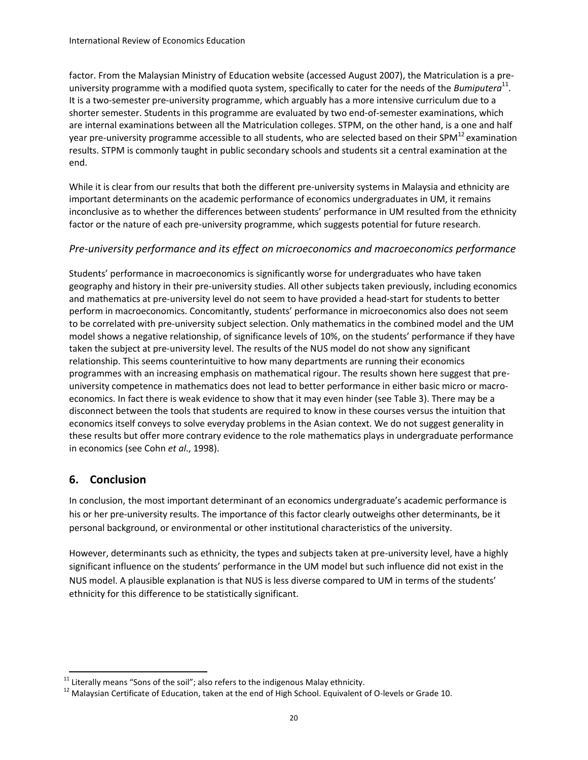factor. From the Malaysian Ministry of Education website (accessed August 2007), the Matriculation is a preuniversity programme with a modified quota system, specifically to cater for the needs of the *Bumiputera*<sup>11</sup>. It is a two-semester pre-university programme, which arguably has a more intensive curriculum due to a shorter semester. Students in this programme are evaluated by two end-of-semester examinations, which are internal examinations between all the Matriculation colleges. STPM, on the other hand, is a one and half year pre-university programme accessible to all students, who are selected based on their SPM<sup>12</sup> examination results. STPM is commonly taught in public secondary schools and students sit a central examination at the end.

While it is clear from our results that both the different pre-university systems in Malaysia and ethnicity are important determinants on the academic performance of economics undergraduates in UM, it remains inconclusive as to whether the differences between students' performance in UM resulted from the ethnicity factor or the nature of each pre-university programme, which suggests potential for future research.

#### *Pre-university performance and its effect on microeconomics and macroeconomics performance*

Students' performance in macroeconomics is significantly worse for undergraduates who have taken geography and history in their pre-university studies. All other subjects taken previously, including economics and mathematics at pre-university level do not seem to have provided a head-start for students to better perform in macroeconomics. Concomitantly, students' performance in microeconomics also does not seem to be correlated with pre-university subject selection. Only mathematics in the combined model and the UM model shows a negative relationship, of significance levels of 10%, on the students' performance if they have taken the subject at pre-university level. The results of the NUS model do not show any significant relationship. This seems counterintuitive to how many departments are running their economics programmes with an increasing emphasis on mathematical rigour. The results shown here suggest that preuniversity competence in mathematics does not lead to better performance in either basic micro or macroeconomics. In fact there is weak evidence to show that it may even hinder (see Table 3). There may be a disconnect between the tools that students are required to know in these courses versus the intuition that economics itself conveys to solve everyday problems in the Asian context. We do not suggest generality in these results but offer more contrary evidence to the role mathematics plays in undergraduate performance in economics (see Cohn *et al*., 1998).

# **6. Conclusion**

In conclusion, the most important determinant of an economics undergraduate's academic performance is his or her pre-university results. The importance of this factor clearly outweighs other determinants, be it personal background, or environmental or other institutional characteristics of the university.

However, determinants such as ethnicity, the types and subjects taken at pre-university level, have a highly significant influence on the students' performance in the UM model but such influence did not exist in the NUS model. A plausible explanation is that NUS is less diverse compared to UM in terms of the students' ethnicity for this difference to be statistically significant.

 $\overline{a}$  $11$  Literally means "Sons of the soil"; also refers to the indigenous Malay ethnicity.

 $12$  Malaysian Certificate of Education, taken at the end of High School. Equivalent of O-levels or Grade 10.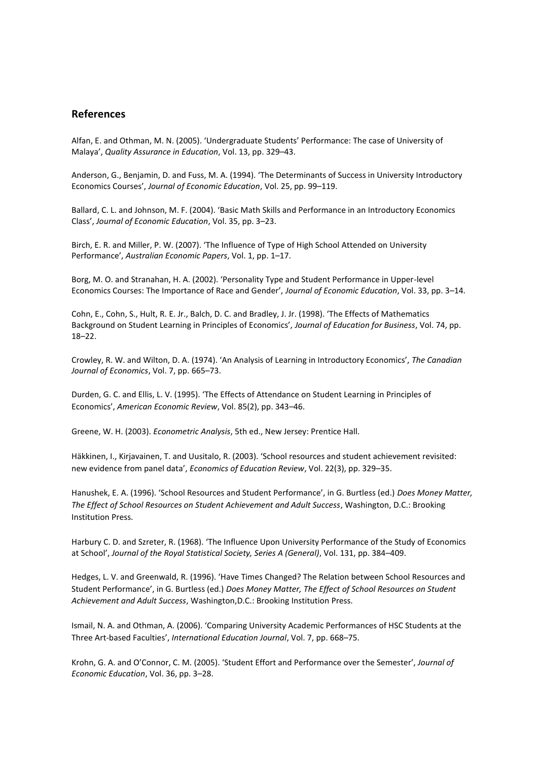#### **References**

Alfan, E. and Othman, M. N. (2005). 'Undergraduate Students' Performance: The case of University of Malaya', *Quality Assurance in Education*, Vol. 13, pp. 329–43.

Anderson, G., Benjamin, D. and Fuss, M. A. (1994). 'The Determinants of Success in University Introductory Economics Courses', *Journal of Economic Education*, Vol. 25, pp. 99–119.

Ballard, C. L. and Johnson, M. F. (2004). 'Basic Math Skills and Performance in an Introductory Economics Class', *Journal of Economic Education*, Vol. 35, pp. 3–23.

Birch, E. R. and Miller, P. W. (2007). 'The Influence of Type of High School Attended on University Performance', *Australian Economic Papers*, Vol. 1, pp. 1–17.

Borg, M. O. and Stranahan, H. A. (2002). 'Personality Type and Student Performance in Upper-level Economics Courses: The Importance of Race and Gender', *Journal of Economic Education*, Vol. 33, pp. 3–14.

Cohn, E., Cohn, S., Hult, R. E. Jr., Balch, D. C. and Bradley, J. Jr. (1998). 'The Effects of Mathematics Background on Student Learning in Principles of Economics', *Journal of Education for Business*, Vol. 74, pp. 18–22.

Crowley, R. W. and Wilton, D. A. (1974). 'An Analysis of Learning in Introductory Economics', *The Canadian Journal of Economics*, Vol. 7, pp. 665–73.

Durden, G. C. and Ellis, L. V. (1995). 'The Effects of Attendance on Student Learning in Principles of Economics', *American Economic Review*, Vol. 85(2), pp. 343–46.

Greene, W. H. (2003). *Econometric Analysis*, 5th ed., New Jersey: Prentice Hall.

Häkkinen, I., Kirjavainen, T. and Uusitalo, R. (2003). 'School resources and student achievement revisited: new evidence from panel data', *Economics of Education Review*, Vol. 22(3), pp. 329–35.

Hanushek, E. A. (1996). 'School Resources and Student Performance', in G. Burtless (ed.) *Does Money Matter, The Effect of School Resources on Student Achievement and Adult Success*, Washington, D.C.: Brooking Institution Press.

Harbury C. D. and Szreter, R. (1968). 'The Influence Upon University Performance of the Study of Economics at School', *Journal of the Royal Statistical Society, Series A (General)*, Vol. 131, pp. 384–409.

Hedges, L. V. and Greenwald, R. (1996). 'Have Times Changed? The Relation between School Resources and Student Performance', in G. Burtless (ed.) *Does Money Matter, The Effect of School Resources on Student Achievement and Adult Success*, Washington,D.C.: Brooking Institution Press.

Ismail, N. A. and Othman, A. (2006). 'Comparing University Academic Performances of HSC Students at the Three Art-based Faculties', *International Education Journal*, Vol. 7, pp. 668–75.

Krohn, G. A. and O'Connor, C. M. (2005). 'Student Effort and Performance over the Semester', *Journal of Economic Education*, Vol. 36, pp. 3–28.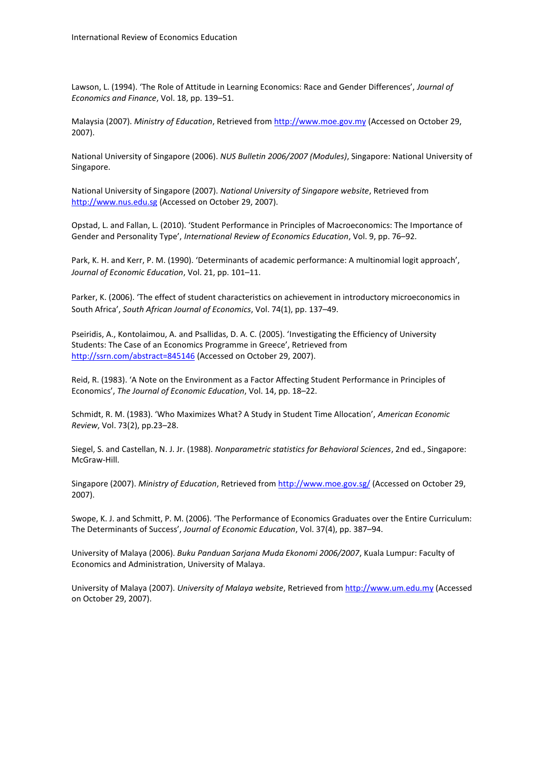Lawson, L. (1994). 'The Role of Attitude in Learning Economics: Race and Gender Differences', *Journal of Economics and Finance*, Vol. 18, pp. 139–51.

Malaysia (2007). *Ministry of Education*, Retrieved fro[m http://www.moe.gov.my](http://www.moe.gov.my/) (Accessed on October 29, 2007).

National University of Singapore (2006). *NUS Bulletin 2006/2007 (Modules)*, Singapore: National University of Singapore.

National University of Singapore (2007). *National University of Singapore website*, Retrieved from [http://www.nus.edu.sg](http://www.nus.edu.sg/) (Accessed on October 29, 2007).

Opstad, L. and Fallan, L. (2010). 'Student Performance in Principles of Macroeconomics: The Importance of Gender and Personality Type', *International Review of Economics Education*, Vol. 9, pp. 76–92.

Park, K. H. and Kerr, P. M. (1990). 'Determinants of academic performance: A multinomial logit approach', *Journal of Economic Education*, Vol. 21, pp. 101–11.

Parker, K. (2006). 'The effect of student characteristics on achievement in introductory microeconomics in South Africa', *South African Journal of Economics*, Vol. 74(1), pp. 137–49.

Pseiridis, A., Kontolaimou, A. and Psallidas, D. A. C. (2005). 'Investigating the Efficiency of University Students: The Case of an Economics Programme in Greece', Retrieved from <http://ssrn.com/abstract=845146> (Accessed on October 29, 2007).

Reid, R. (1983). 'A Note on the Environment as a Factor Affecting Student Performance in Principles of Economics', *The Journal of Economic Education*, Vol. 14, pp. 18–22.

Schmidt, R. M. (1983). 'Who Maximizes What? A Study in Student Time Allocation', *American Economic Review*, Vol. 73(2), pp.23–28.

Siegel, S. and Castellan, N. J. Jr. (1988). *Nonparametric statistics for Behavioral Sciences*, 2nd ed., Singapore: McGraw-Hill.

Singapore (2007). *Ministry of Education*, Retrieved from<http://www.moe.gov.sg/> (Accessed on October 29, 2007).

Swope, K. J. and Schmitt, P. M. (2006). 'The Performance of Economics Graduates over the Entire Curriculum: The Determinants of Success', *Journal of Economic Education*, Vol. 37(4), pp. 387–94.

University of Malaya (2006). *Buku Panduan Sarjana Muda Ekonomi 2006/2007*, Kuala Lumpur: Faculty of Economics and Administration, University of Malaya.

University of Malaya (2007). *University of Malaya website*, Retrieved from [http://www.um.edu.my](http://www.um.edu.my/) (Accessed on October 29, 2007).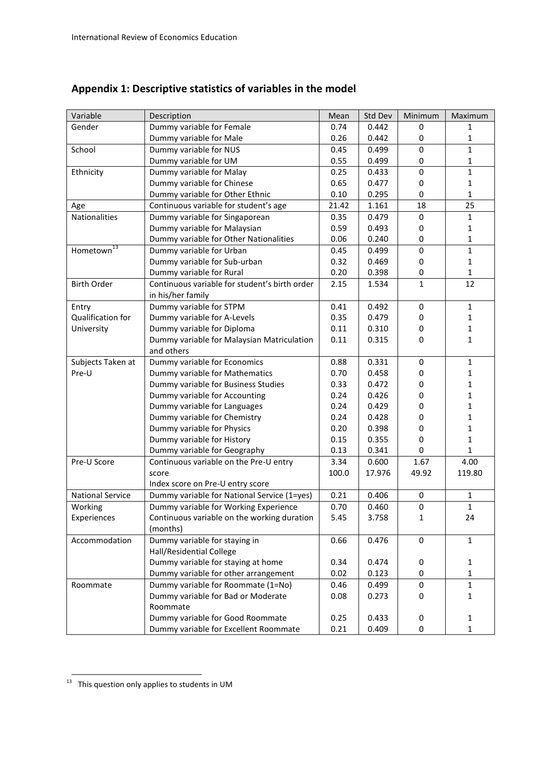| Variable                | Description                                   | Mean  | Std Dev | Minimum          | Maximum      |
|-------------------------|-----------------------------------------------|-------|---------|------------------|--------------|
| Gender                  | Dummy variable for Female                     | 0.74  | 0.442   | 0                | 1            |
|                         | Dummy variable for Male                       | 0.26  | 0.442   | 0                | $\mathbf 1$  |
| School                  | Dummy variable for NUS                        | 0.45  | 0.499   | $\mathbf 0$      | $\mathbf{1}$ |
|                         | Dummy variable for UM                         | 0.55  | 0.499   | 0                | 1            |
| Ethnicity               | Dummy variable for Malay                      | 0.25  | 0.433   | $\pmb{0}$        | $\mathbf{1}$ |
|                         | Dummy variable for Chinese                    | 0.65  | 0.477   | 0                | 1            |
|                         | Dummy variable for Other Ethnic               | 0.10  | 0.295   | 0                | $\mathbf{1}$ |
| Age                     | Continuous variable for student's age         | 21.42 | 1.161   | 18               | 25           |
| Nationalities           | Dummy variable for Singaporean                | 0.35  | 0.479   | $\pmb{0}$        | $\mathbf{1}$ |
|                         | Dummy variable for Malaysian                  | 0.59  | 0.493   | 0                | 1            |
|                         | Dummy variable for Other Nationalities        | 0.06  | 0.240   | $\pmb{0}$        | 1            |
| Hometown <sup>13</sup>  | Dummy variable for Urban                      | 0.45  | 0.499   | $\pmb{0}$        | $\mathbf{1}$ |
|                         | Dummy variable for Sub-urban                  | 0.32  | 0.469   | 0                | 1            |
|                         | Dummy variable for Rural                      | 0.20  | 0.398   | 0                | 1            |
| <b>Birth Order</b>      | Continuous variable for student's birth order | 2.15  | 1.534   | 1                | 12           |
|                         | in his/her family                             |       |         |                  |              |
| Entry                   | Dummy variable for STPM                       | 0.41  | 0.492   | 0                | $\mathbf 1$  |
| Qualification for       | Dummy variable for A-Levels                   | 0.35  | 0.479   | 0                | 1            |
| University              | Dummy variable for Diploma                    | 0.11  | 0.310   | 0                | 1            |
|                         | Dummy variable for Malaysian Matriculation    | 0.11  | 0.315   | 0                | 1            |
|                         | and others                                    |       |         |                  |              |
| Subjects Taken at       | Dummy variable for Economics                  | 0.88  | 0.331   | 0                | 1            |
| Pre-U                   | Dummy variable for Mathematics                | 0.70  | 0.458   | 0                | 1            |
|                         | Dummy variable for Business Studies           | 0.33  | 0.472   | 0                | 1            |
|                         | Dummy variable for Accounting                 | 0.24  | 0.426   | 0                | 1            |
|                         | Dummy variable for Languages                  | 0.24  | 0.429   | 0                | 1            |
|                         | Dummy variable for Chemistry                  | 0.24  | 0.428   | 0                | 1            |
|                         | Dummy variable for Physics                    | 0.20  | 0.398   | 0                | 1            |
|                         | Dummy variable for History                    | 0.15  | 0.355   | 0                | 1            |
|                         | Dummy variable for Geography                  | 0.13  | 0.341   | 0                | 1            |
| Pre-U Score             | Continuous variable on the Pre-U entry        | 3.34  | 0.600   | 1.67             | 4.00         |
|                         | score                                         | 100.0 | 17.976  | 49.92            | 119.80       |
|                         | Index score on Pre-U entry score              |       |         |                  |              |
| <b>National Service</b> | Dummy variable for National Service (1=yes)   | 0.21  | 0.406   | $\pmb{0}$        | $\mathbf 1$  |
| Working                 | Dummy variable for Working Experience         | 0.70  | 0.460   | $\pmb{0}$        | $\mathbf{1}$ |
| Experiences             | Continuous variable on the working duration   | 5.45  | 3.758   | 1                | 24           |
|                         | (months)                                      |       |         |                  |              |
| Accommodation           | Dummy variable for staying in                 | 0.66  | 0.476   | 0                | $\mathbf{1}$ |
|                         | Hall/Residential College                      |       |         |                  |              |
|                         | Dummy variable for staying at home            | 0.34  | 0.474   | 0                | $\mathbf{1}$ |
|                         | Dummy variable for other arrangement          | 0.02  | 0.123   | 0                | $\mathbf{1}$ |
| Roommate                | Dummy variable for Roommate (1=No)            | 0.46  | 0.499   | $\boldsymbol{0}$ | $\mathbf{1}$ |
|                         | Dummy variable for Bad or Moderate            | 0.08  | 0.273   | 0                | $\mathbf{1}$ |
|                         | Roommate                                      |       |         |                  |              |
|                         | Dummy variable for Good Roommate              | 0.25  | 0.433   | 0                | $\mathbf{1}$ |
|                         | Dummy variable for Excellent Roommate         | 0.21  | 0.409   | 0                | $\mathbf{1}$ |

# **Appendix 1: Descriptive statistics of variables in the model**

 $\overline{\phantom{a}}$ 

 $\overline{a}$ 

 $13$  This question only applies to students in UM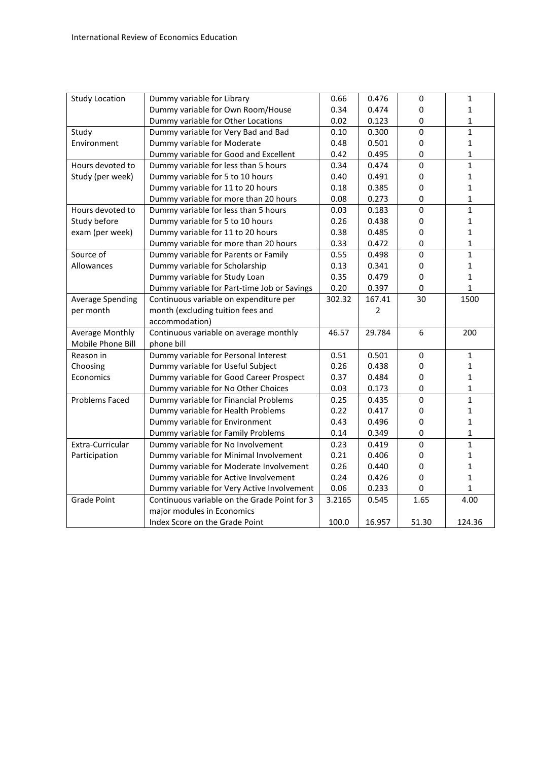| <b>Study Location</b>   | Dummy variable for Library                   | 0.66   | 0.476  | 0                | 1            |
|-------------------------|----------------------------------------------|--------|--------|------------------|--------------|
|                         | Dummy variable for Own Room/House            | 0.34   | 0.474  | 0                | 1            |
|                         | Dummy variable for Other Locations           | 0.02   | 0.123  | $\pmb{0}$        | $\mathbf 1$  |
| Study                   | Dummy variable for Very Bad and Bad          | 0.10   | 0.300  | $\mathbf 0$      | $\mathbf 1$  |
| Environment             | Dummy variable for Moderate                  | 0.48   | 0.501  | $\pmb{0}$        | $\mathbf{1}$ |
|                         | Dummy variable for Good and Excellent        | 0.42   | 0.495  | 0                | 1            |
| Hours devoted to        | Dummy variable for less than 5 hours         | 0.34   | 0.474  | $\boldsymbol{0}$ | $\mathbf 1$  |
| Study (per week)        | Dummy variable for 5 to 10 hours             | 0.40   | 0.491  | $\pmb{0}$        | 1            |
|                         | Dummy variable for 11 to 20 hours            | 0.18   | 0.385  | 0                | 1            |
|                         | Dummy variable for more than 20 hours        | 0.08   | 0.273  | $\boldsymbol{0}$ | 1            |
| Hours devoted to        | Dummy variable for less than 5 hours         | 0.03   | 0.183  | $\pmb{0}$        | 1            |
| Study before            | Dummy variable for 5 to 10 hours             | 0.26   | 0.438  | 0                | 1            |
| exam (per week)         | Dummy variable for 11 to 20 hours            | 0.38   | 0.485  | $\boldsymbol{0}$ | 1            |
|                         | Dummy variable for more than 20 hours        | 0.33   | 0.472  | $\mathbf 0$      | $\mathbf 1$  |
| Source of               | Dummy variable for Parents or Family         | 0.55   | 0.498  | $\mathbf 0$      | $\mathbf{1}$ |
| Allowances              | Dummy variable for Scholarship               | 0.13   | 0.341  | $\pmb{0}$        | 1            |
|                         | Dummy variable for Study Loan                | 0.35   | 0.479  | 0                | 1            |
|                         | Dummy variable for Part-time Job or Savings  | 0.20   | 0.397  | 0                | 1            |
| <b>Average Spending</b> | Continuous variable on expenditure per       | 302.32 | 167.41 | 30               | 1500         |
| per month               | month (excluding tuition fees and            |        | 2      |                  |              |
|                         | accommodation)                               |        |        |                  |              |
| Average Monthly         | Continuous variable on average monthly       | 46.57  | 29.784 | 6                | 200          |
| Mobile Phone Bill       | phone bill                                   |        |        |                  |              |
| Reason in               | Dummy variable for Personal Interest         | 0.51   | 0.501  | $\pmb{0}$        | $\mathbf{1}$ |
| Choosing                | Dummy variable for Useful Subject            | 0.26   | 0.438  | 0                | 1            |
| Economics               | Dummy variable for Good Career Prospect      | 0.37   | 0.484  | $\boldsymbol{0}$ | 1            |
|                         | Dummy variable for No Other Choices          | 0.03   | 0.173  | $\pmb{0}$        | 1            |
| <b>Problems Faced</b>   | Dummy variable for Financial Problems        | 0.25   | 0.435  | $\mathbf 0$      | 1            |
|                         | Dummy variable for Health Problems           | 0.22   | 0.417  | $\pmb{0}$        | 1            |
|                         | Dummy variable for Environment               | 0.43   | 0.496  | $\pmb{0}$        | 1            |
|                         | Dummy variable for Family Problems           | 0.14   | 0.349  | $\boldsymbol{0}$ | 1            |
| Extra-Curricular        | Dummy variable for No Involvement            | 0.23   | 0.419  | $\mathbf 0$      | 1            |
| Participation           | Dummy variable for Minimal Involvement       | 0.21   | 0.406  | $\pmb{0}$        | 1            |
|                         | Dummy variable for Moderate Involvement      | 0.26   | 0.440  | $\pmb{0}$        | 1            |
|                         | Dummy variable for Active Involvement        | 0.24   | 0.426  | $\boldsymbol{0}$ | $\mathbf{1}$ |
|                         | Dummy variable for Very Active Involvement   | 0.06   | 0.233  | 0                | 1            |
| <b>Grade Point</b>      | Continuous variable on the Grade Point for 3 | 3.2165 | 0.545  | 1.65             | 4.00         |
|                         | major modules in Economics                   |        |        |                  |              |
|                         | Index Score on the Grade Point               | 100.0  | 16.957 | 51.30            | 124.36       |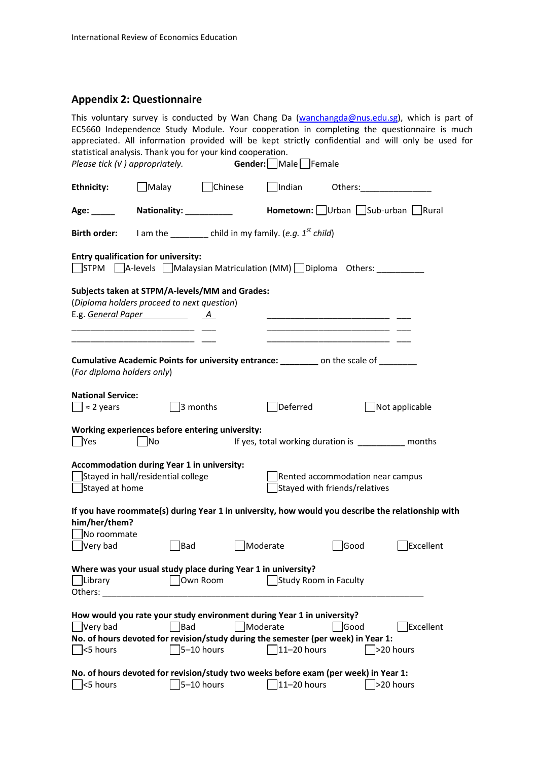# **Appendix 2: Questionnaire**

| Please tick $(V)$ appropriately.                                    |                                                                          | statistical analysis. Thank you for your kind cooperation.                                                                                                                | Gender: Male Female                                                                       |                                                                            | This voluntary survey is conducted by Wan Chang Da (wanchangda@nus.edu.sg), which is part of<br>EC5660 Independence Study Module. Your cooperation in completing the questionnaire is much<br>appreciated. All information provided will be kept strictly confidential and will only be used for |
|---------------------------------------------------------------------|--------------------------------------------------------------------------|---------------------------------------------------------------------------------------------------------------------------------------------------------------------------|-------------------------------------------------------------------------------------------|----------------------------------------------------------------------------|--------------------------------------------------------------------------------------------------------------------------------------------------------------------------------------------------------------------------------------------------------------------------------------------------|
| <b>Ethnicity:</b>                                                   | $\Box$ Malay                                                             | <b>Chinese</b>                                                                                                                                                            |                                                                                           | Indian Others: 1999                                                        |                                                                                                                                                                                                                                                                                                  |
| Age: $\_\_$                                                         | Nationality: __________                                                  |                                                                                                                                                                           |                                                                                           | <b>Hometown:</b> $\Box$ Urban $\Box$ Sub-urban $\Box$ Rural                |                                                                                                                                                                                                                                                                                                  |
| <b>Birth order:</b>                                                 |                                                                          | I am the $\rule{1em}{0.15mm}$ child in my family. (e.g. 1 <sup>st</sup> child)                                                                                            |                                                                                           |                                                                            |                                                                                                                                                                                                                                                                                                  |
| <b>Entry qualification for university:</b>                          |                                                                          | STPM   A-levels   Malaysian Matriculation (MM)   Diploma Others: __________                                                                                               |                                                                                           |                                                                            |                                                                                                                                                                                                                                                                                                  |
| (Diploma holders proceed to next question)<br>E.g. General Paper A  | <u> 2000 - Jan James James Barbara, president eta idazlea (h. 1878).</u> | Subjects taken at STPM/A-levels/MM and Grades:                                                                                                                            | the control of the control of the control of the control of the control of the control of | the control of the control of the control of the control of the control of |                                                                                                                                                                                                                                                                                                  |
| (For diploma holders only)                                          |                                                                          | Cumulative Academic Points for university entrance: ________ on the scale of ______                                                                                       |                                                                                           |                                                                            |                                                                                                                                                                                                                                                                                                  |
| <b>National Service:</b><br>$\approx$ 2 years                       |                                                                          | 3 months                                                                                                                                                                  | Deferred                                                                                  |                                                                            | Not applicable                                                                                                                                                                                                                                                                                   |
| Yes                                                                 | $\Box$ No                                                                | Working experiences before entering university:                                                                                                                           |                                                                                           | If yes, total working duration is ____________ months                      |                                                                                                                                                                                                                                                                                                  |
| <b>Accommodation during Year 1 in university:</b><br>Stayed at home | Stayed in hall/residential college                                       |                                                                                                                                                                           |                                                                                           | Rented accommodation near campus<br>Stayed with friends/relatives          |                                                                                                                                                                                                                                                                                                  |
| him/her/them?<br>No roommate                                        |                                                                          |                                                                                                                                                                           |                                                                                           |                                                                            | If you have roommate(s) during Year 1 in university, how would you describe the relationship with                                                                                                                                                                                                |
| Very bad                                                            | Bad                                                                      |                                                                                                                                                                           | Moderate                                                                                  | Good                                                                       | Excellent                                                                                                                                                                                                                                                                                        |
| Library<br>Others:                                                  |                                                                          | Where was your usual study place during Year 1 in university?<br>Own Room                                                                                                 | Study Room in Faculty                                                                     |                                                                            |                                                                                                                                                                                                                                                                                                  |
| Very bad<br><5 hours                                                | Bad                                                                      | How would you rate your study environment during Year 1 in university?<br>No. of hours devoted for revision/study during the semester (per week) in Year 1:<br>5-10 hours | Moderate<br>$ 11-20$ hours                                                                | Good                                                                       | <b>Excellent</b><br>>20 hours                                                                                                                                                                                                                                                                    |
| <5 hours                                                            |                                                                          | No. of hours devoted for revision/study two weeks before exam (per week) in Year 1:<br>5-10 hours                                                                         | 11-20 hours                                                                               |                                                                            | >20 hours                                                                                                                                                                                                                                                                                        |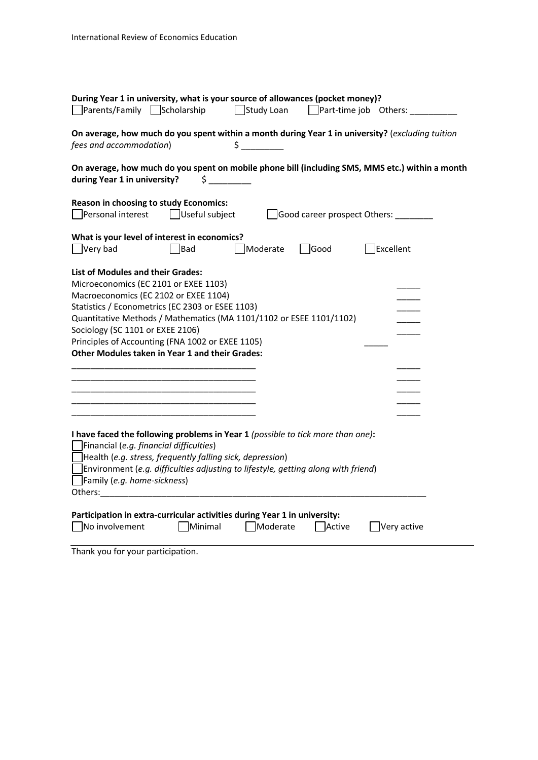| During Year 1 in university, what is your source of allowances (pocket money)?<br>Parents/Family Scholarship                                                                                                                                                                                                                                                                                                                                                          |                       | Study Loan            |      | Part-time job Others:        |
|-----------------------------------------------------------------------------------------------------------------------------------------------------------------------------------------------------------------------------------------------------------------------------------------------------------------------------------------------------------------------------------------------------------------------------------------------------------------------|-----------------------|-----------------------|------|------------------------------|
| On average, how much do you spent within a month during Year 1 in university? (excluding tuition<br>fees and accommodation)                                                                                                                                                                                                                                                                                                                                           |                       | $\sharp$ and $\sharp$ |      |                              |
| On average, how much do you spent on mobile phone bill (including SMS, MMS etc.) within a month<br>during Year 1 in university?<br>$\zeta$                                                                                                                                                                                                                                                                                                                            |                       |                       |      |                              |
| <b>Reason in choosing to study Economics:</b><br>Personal interest                                                                                                                                                                                                                                                                                                                                                                                                    | $\Box$ Useful subject |                       |      | Good career prospect Others: |
| What is your level of interest in economics?<br>Very bad                                                                                                                                                                                                                                                                                                                                                                                                              | Bad                   | Moderate              | Good | Excellent                    |
| <b>List of Modules and their Grades:</b><br>Microeconomics (EC 2101 or EXEE 1103)<br>Macroeconomics (EC 2102 or EXEE 1104)<br>Statistics / Econometrics (EC 2303 or ESEE 1103)<br>Quantitative Methods / Mathematics (MA 1101/1102 or ESEE 1101/1102)<br>Sociology (SC 1101 or EXEE 2106)<br>Principles of Accounting (FNA 1002 or EXEE 1105)<br><b>Other Modules taken in Year 1 and their Grades:</b>                                                               |                       |                       |      |                              |
| I have faced the following problems in Year 1 (possible to tick more than one):<br>Financial (e.g. financial difficulties)<br>Health (e.g. stress, frequently falling sick, depression)<br>Environment (e.g. difficulties adjusting to lifestyle, getting along with friend)<br>Family (e.g. home-sickness)<br>Others:<br>Participation in extra-curricular activities during Year 1 in university:<br>No involvement<br>Minimal<br>Moderate<br>Active<br>Very active |                       |                       |      |                              |
| Thank you for your participation.                                                                                                                                                                                                                                                                                                                                                                                                                                     |                       |                       |      |                              |